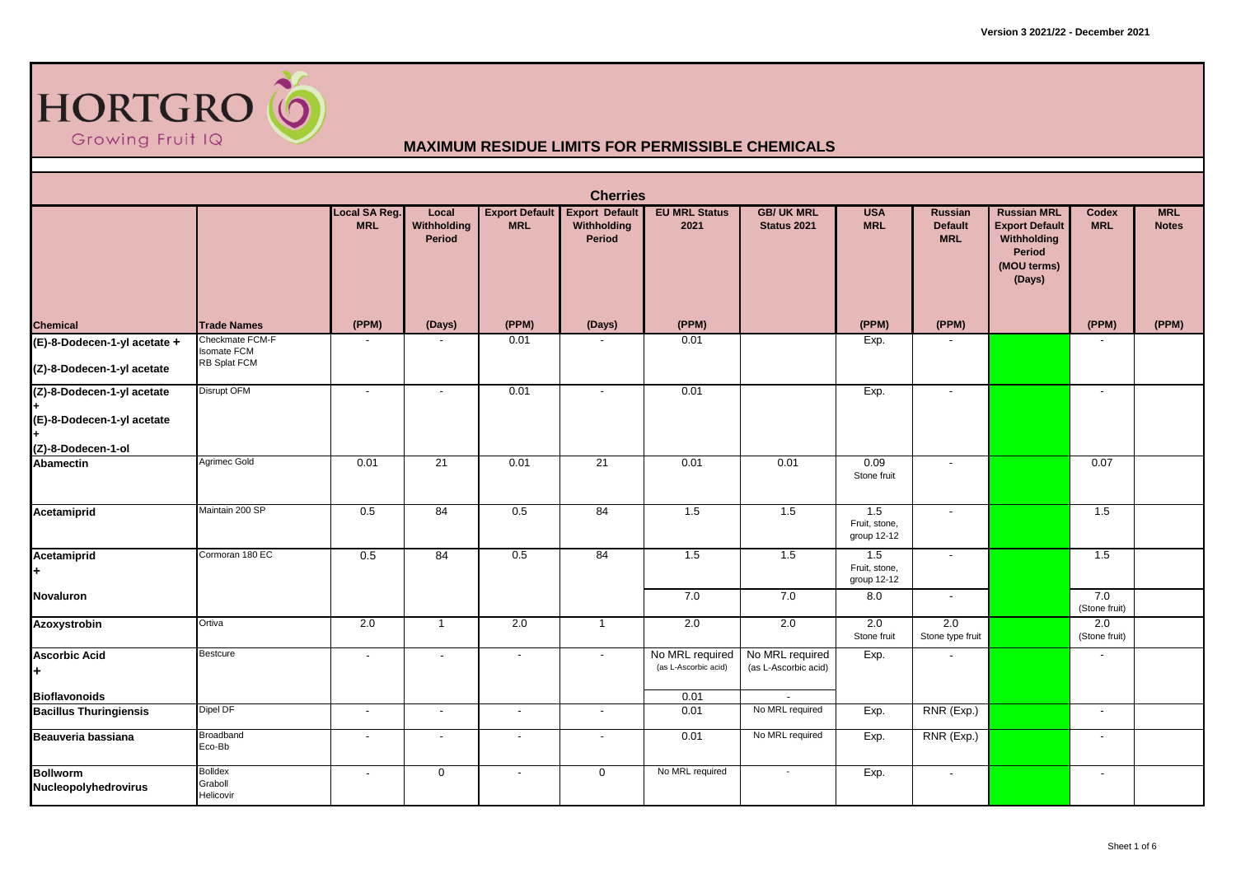

|                                                                                | <b>Cherries</b>                                       |                             |                                |                                     |                                                |                                         |                                         |                                                  |                                                |                                                                                               |                            |                            |  |  |
|--------------------------------------------------------------------------------|-------------------------------------------------------|-----------------------------|--------------------------------|-------------------------------------|------------------------------------------------|-----------------------------------------|-----------------------------------------|--------------------------------------------------|------------------------------------------------|-----------------------------------------------------------------------------------------------|----------------------------|----------------------------|--|--|
|                                                                                |                                                       | Local SA Reg.<br><b>MRL</b> | Local<br>Withholding<br>Period | <b>Export Default</b><br><b>MRL</b> | <b>Export Default</b><br>Withholding<br>Period | <b>EU MRL Status</b><br>2021            | <b>GB/ UK MRL</b><br>Status 2021        | <b>USA</b><br><b>MRL</b>                         | <b>Russian</b><br><b>Default</b><br><b>MRL</b> | <b>Russian MRL</b><br><b>Export Default</b><br>Withholding<br>Period<br>(MOU terms)<br>(Days) | <b>Codex</b><br><b>MRL</b> | <b>MRL</b><br><b>Notes</b> |  |  |
| <b>Chemical</b>                                                                | <b>Trade Names</b>                                    | (PPM)                       | (Days)                         | (PPM)                               | (Days)                                         | (PPM)                                   |                                         | (PPM)                                            | (PPM)                                          |                                                                                               | (PPM)                      | (PPM)                      |  |  |
| (E)-8-Dodecen-1-yl acetate +                                                   | Checkmate FCM-F<br><b>Isomate FCM</b><br>RB Splat FCM |                             |                                | 0.01                                |                                                | 0.01                                    |                                         | Exp.                                             |                                                |                                                                                               |                            |                            |  |  |
| (Z)-8-Dodecen-1-yl acetate                                                     |                                                       |                             |                                |                                     |                                                |                                         |                                         |                                                  |                                                |                                                                                               |                            |                            |  |  |
| (Z)-8-Dodecen-1-yl acetate<br>(E)-8-Dodecen-1-yl acetate<br>(Z)-8-Dodecen-1-ol | Disrupt OFM                                           | $\overline{\phantom{a}}$    | $\sim$                         | 0.01                                | $\sim$                                         | 0.01                                    |                                         | Exp.                                             | $\sim$                                         |                                                                                               | $\sim$                     |                            |  |  |
| Abamectin                                                                      | Agrimec Gold                                          | 0.01                        | 21                             | 0.01                                | 21                                             | 0.01                                    | 0.01                                    | 0.09<br>Stone fruit                              | $\blacksquare$                                 |                                                                                               | 0.07                       |                            |  |  |
| Acetamiprid                                                                    | Maintain 200 SP                                       | 0.5                         | 84                             | 0.5                                 | 84                                             | 1.5                                     | 1.5                                     | 1.5<br>Fruit, stone,<br>group 12-12              | $\sim$                                         |                                                                                               | 1.5                        |                            |  |  |
| Acetamiprid<br>l+.                                                             | Cormoran 180 EC                                       | 0.5                         | 84                             | 0.5                                 | 84                                             | 1.5                                     | 1.5                                     | $\overline{1.5}$<br>Fruit, stone,<br>group 12-12 | $\sim$                                         |                                                                                               | 1.5                        |                            |  |  |
| Novaluron                                                                      |                                                       |                             |                                |                                     |                                                | 7.0                                     | 7.0                                     | 8.0                                              | $\sim$                                         |                                                                                               | 7.0<br>(Stone fruit)       |                            |  |  |
| Azoxystrobin                                                                   | Ortiva                                                | 2.0                         | $\mathbf{1}$                   | $\overline{2.0}$                    | $\mathbf{1}$                                   | 2.0                                     | 2.0                                     | $\overline{2.0}$<br>Stone fruit                  | 2.0<br>Stone type fruit                        |                                                                                               | 2.0<br>(Stone fruit)       |                            |  |  |
| <b>Ascorbic Acid</b><br>l+                                                     | Bestcure                                              | $\sim$                      | $\mathbf{r}$                   | $\sim$                              | $\overline{\phantom{a}}$                       | No MRL required<br>(as L-Ascorbic acid) | No MRL required<br>(as L-Ascorbic acid) | Exp.                                             | $\overline{\phantom{a}}$                       |                                                                                               | $\blacksquare$             |                            |  |  |
| <b>Bioflavonoids</b>                                                           |                                                       |                             |                                |                                     |                                                | 0.01                                    | $\sim$                                  |                                                  |                                                |                                                                                               |                            |                            |  |  |
| <b>Bacillus Thuringiensis</b>                                                  | Dipel DF                                              | $\sim$                      | $\sim$                         | $\blacksquare$                      | $\sim$                                         | 0.01                                    | No MRL required                         | Exp.                                             | RNR (Exp.)                                     |                                                                                               | $\sim$                     |                            |  |  |
| Beauveria bassiana                                                             | Broadband<br>Eco-Bb                                   | $\overline{\phantom{a}}$    | $\overline{\phantom{a}}$       | $\overline{\phantom{a}}$            | $\overline{\phantom{a}}$                       | 0.01                                    | No MRL required                         | Exp.                                             | RNR (Exp.)                                     |                                                                                               | $\sim$                     |                            |  |  |
| <b>Bollworm</b><br>Nucleopolyhedrovirus                                        | <b>Bolldex</b><br>Graboll<br>Helicovir                | $\overline{\phantom{a}}$    | $\overline{0}$                 | $\sim$                              | $\mathbf 0$                                    | No MRL required                         | $\sim$                                  | Exp.                                             | $\sim$                                         |                                                                                               | $\overline{\phantom{a}}$   |                            |  |  |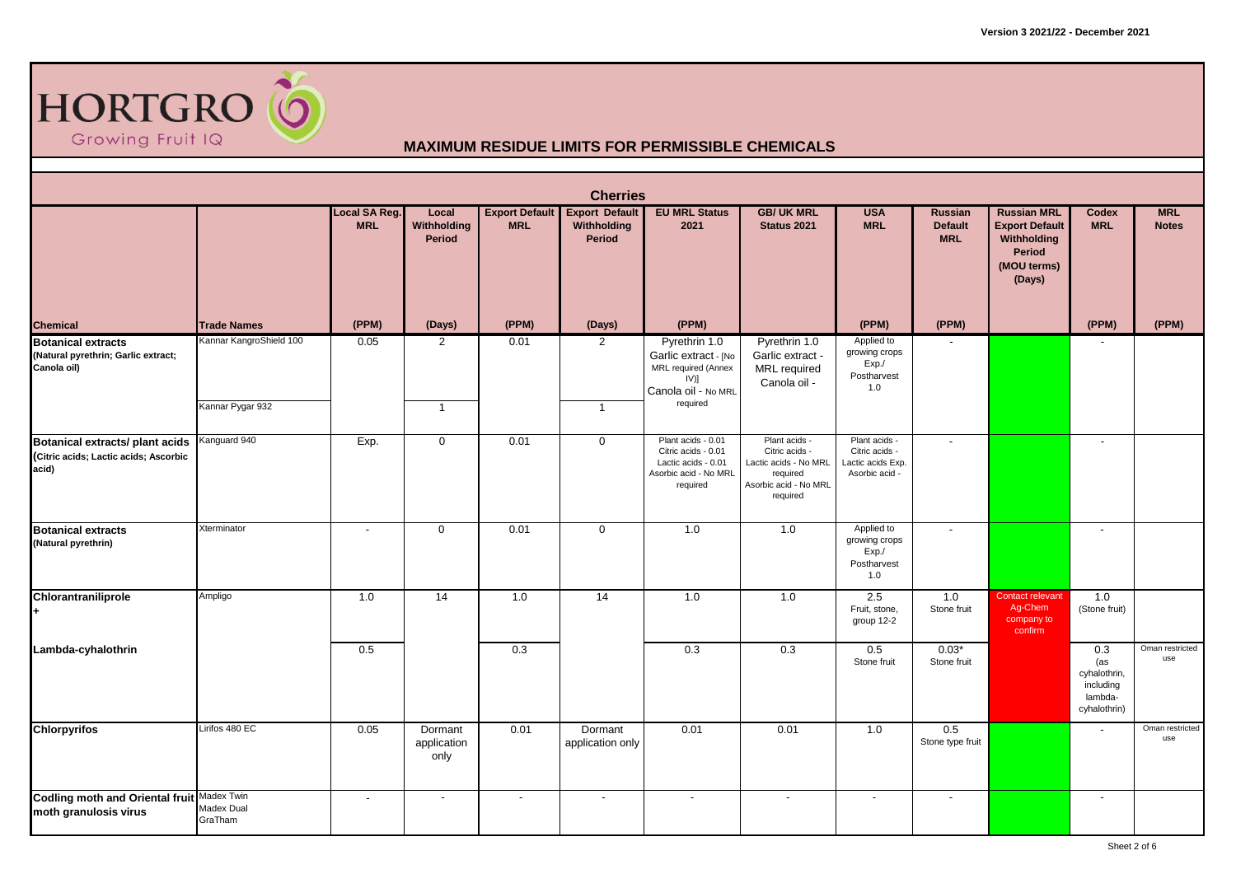

|                                                                                   | <b>Cherries</b>                             |                                    |                                |                                     |                                                |                                                                                                            |                                                                                                           |                                                                        |                                                |                                                                                               |                                                                    |                            |  |  |
|-----------------------------------------------------------------------------------|---------------------------------------------|------------------------------------|--------------------------------|-------------------------------------|------------------------------------------------|------------------------------------------------------------------------------------------------------------|-----------------------------------------------------------------------------------------------------------|------------------------------------------------------------------------|------------------------------------------------|-----------------------------------------------------------------------------------------------|--------------------------------------------------------------------|----------------------------|--|--|
|                                                                                   |                                             | <b>Local SA Reg.</b><br><b>MRL</b> | Local<br>Withholding<br>Period | <b>Export Default</b><br><b>MRL</b> | <b>Export Default</b><br>Withholding<br>Period | <b>EU MRL Status</b><br>2021                                                                               | <b>GB/ UK MRL</b><br><b>Status 2021</b>                                                                   | <b>USA</b><br><b>MRL</b>                                               | <b>Russian</b><br><b>Default</b><br><b>MRL</b> | <b>Russian MRL</b><br><b>Export Default</b><br>Withholding<br>Period<br>(MOU terms)<br>(Days) | Codex<br><b>MRL</b>                                                | <b>MRL</b><br><b>Notes</b> |  |  |
| <b>Chemical</b>                                                                   | <b>Trade Names</b>                          | (PPM)                              | (Days)                         | (PPM)                               | (Days)                                         | (PPM)                                                                                                      |                                                                                                           | (PPM)                                                                  | (PPM)                                          |                                                                                               | (PPM)                                                              | (PPM)                      |  |  |
| <b>Botanical extracts</b><br>(Natural pyrethrin; Garlic extract;<br>Canola oil)   | Kannar KangroShield 100<br>Kannar Pygar 932 | 0.05                               | 2<br>$\overline{1}$            | 0.01                                | $\overline{2}$<br>$\mathbf{1}$                 | Pyrethrin 1.0<br>Garlic extract - [No<br>MRL required (Annex<br>$IV)$ ]<br>Canola oil - No MRL<br>required | Pyrethrin 1.0<br>Garlic extract -<br>MRL required<br>Canola oil -                                         | Applied to<br>growing crops<br>Exp./<br>Postharvest<br>1.0             |                                                |                                                                                               |                                                                    |                            |  |  |
| Botanical extracts/ plant acids<br>(Citric acids; Lactic acids; Ascorbic<br>acid) | Kanguard 940                                | Exp.                               | $\mathbf 0$                    | 0.01                                | $\mathbf 0$                                    | Plant acids - 0.01<br>Citric acids - 0.01<br>Lactic acids - 0.01<br>Asorbic acid - No MRL<br>required      | Plant acids -<br>Citric acids -<br>Lactic acids - No MRL<br>required<br>Asorbic acid - No MRL<br>required | Plant acids -<br>Citric acids -<br>Lactic acids Exp.<br>Asorbic acid - | $\overline{\phantom{a}}$                       |                                                                                               | $\overline{\phantom{a}}$                                           |                            |  |  |
| <b>Botanical extracts</b><br>(Natural pyrethrin)                                  | Xterminator                                 | $\overline{\phantom{a}}$           | $\mathbf 0$                    | 0.01                                | $\mathbf 0$                                    | 1.0                                                                                                        | 1.0                                                                                                       | Applied to<br>growing crops<br>Exp./<br>Postharvest<br>1.0             | $\overline{\phantom{a}}$                       |                                                                                               | $\overline{\phantom{a}}$                                           |                            |  |  |
| Chlorantraniliprole                                                               | Ampligo                                     | 1.0                                | 14                             | 1.0                                 | 14                                             | 1.0                                                                                                        | 1.0                                                                                                       | 2.5<br>Fruit, stone,<br>group 12-2                                     | 1.0<br>Stone fruit                             | <b>Contact relevant</b><br>Ag-Chem<br>company to<br>confirm                                   | 1.0<br>(Stone fruit)                                               |                            |  |  |
| Lambda-cyhalothrin                                                                |                                             | 0.5                                |                                | 0.3                                 |                                                | 0.3                                                                                                        | 0.3                                                                                                       | 0.5<br>Stone fruit                                                     | $0.03*$<br>Stone fruit                         |                                                                                               | 0.3<br>(as<br>cyhalothrin,<br>including<br>lambda-<br>cyhalothrin) | Oman restricted<br>use     |  |  |
| <b>Chlorpyrifos</b>                                                               | Lirifos 480 EC                              | 0.05                               | Dormant<br>application<br>only | 0.01                                | Dormant<br>application only                    | 0.01                                                                                                       | 0.01                                                                                                      | 1.0                                                                    | 0.5<br>Stone type fruit                        |                                                                                               | $\blacksquare$                                                     | Oman restricted<br>use     |  |  |
| Codling moth and Oriental fruit Madex Twin<br>moth granulosis virus               | Madex Dual<br>GraTham                       | $\blacksquare$                     | $\sim$                         | $\overline{\phantom{a}}$            | $\overline{\phantom{a}}$                       | $\sim$                                                                                                     | $\overline{\phantom{a}}$                                                                                  | $\overline{\phantom{a}}$                                               | $\overline{\phantom{a}}$                       |                                                                                               | $\overline{\phantom{a}}$                                           |                            |  |  |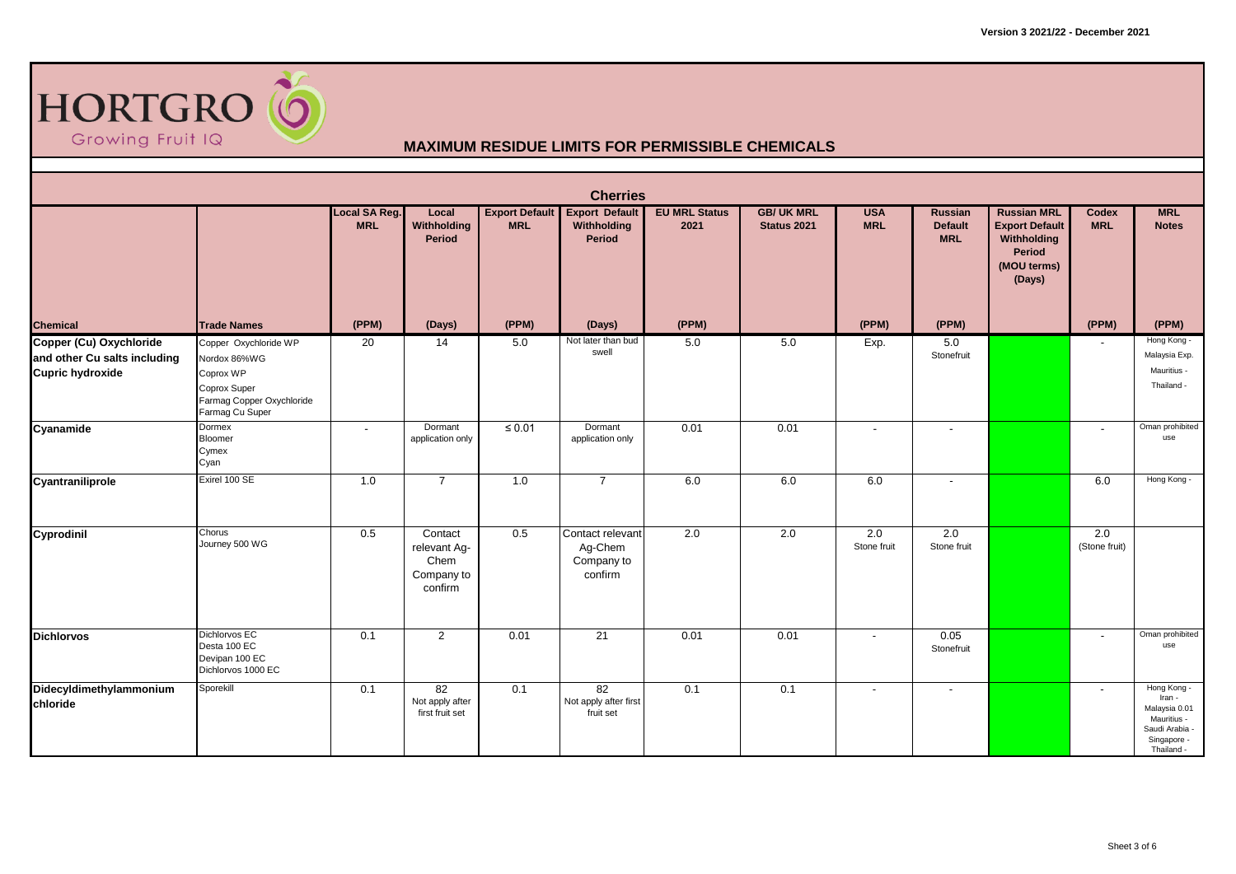

|                                                                                    | <b>Cherries</b>                                                                                                    |                             |                                                          |             |                                                               |                              |                                  |                          |                                         |                                                                                               |                            |                                                                                                    |  |  |
|------------------------------------------------------------------------------------|--------------------------------------------------------------------------------------------------------------------|-----------------------------|----------------------------------------------------------|-------------|---------------------------------------------------------------|------------------------------|----------------------------------|--------------------------|-----------------------------------------|-----------------------------------------------------------------------------------------------|----------------------------|----------------------------------------------------------------------------------------------------|--|--|
|                                                                                    |                                                                                                                    | Local SA Reg.<br><b>MRL</b> | Local<br>Withholding<br>Period                           | <b>MRL</b>  | <b>Export Default Export Default</b><br>Withholding<br>Period | <b>EU MRL Status</b><br>2021 | <b>GB/ UK MRL</b><br>Status 2021 | <b>USA</b><br><b>MRL</b> | Russian<br><b>Default</b><br><b>MRL</b> | <b>Russian MRL</b><br><b>Export Default</b><br>Withholding<br>Period<br>(MOU terms)<br>(Days) | <b>Codex</b><br><b>MRL</b> | <b>MRL</b><br><b>Notes</b>                                                                         |  |  |
| <b>Chemical</b>                                                                    | <b>Trade Names</b>                                                                                                 | (PPM)                       | (Days)                                                   | (PPM)       | (Days)                                                        | (PPM)                        |                                  | (PPM)                    | (PPM)                                   |                                                                                               | (PPM)                      | (PPM)                                                                                              |  |  |
| Copper (Cu) Oxychloride<br>and other Cu salts including<br><b>Cupric hydroxide</b> | Copper Oxychloride WP<br>Nordox 86%WG<br>Coprox WP<br>Coprox Super<br>Farmag Copper Oxychloride<br>Farmag Cu Super | 20                          | 14                                                       | $5.0\,$     | Not later than bud<br>swell                                   | 5.0                          | 5.0                              | Exp.                     | 5.0<br>Stonefruit                       |                                                                                               | $\blacksquare$             | Hong Kong -<br>Malaysia Exp.<br>Mauritius -<br>Thailand -                                          |  |  |
| Cyanamide                                                                          | Dormex<br>Bloomer<br>Cymex<br>Cyan                                                                                 | $\overline{\phantom{a}}$    | Dormant<br>application only                              | $\leq 0.01$ | Dormant<br>application only                                   | 0.01                         | 0.01                             | $\overline{\phantom{a}}$ | $\overline{\phantom{a}}$                |                                                                                               | $\overline{\phantom{a}}$   | Oman prohibited<br>use                                                                             |  |  |
| Cyantraniliprole                                                                   | Exirel 100 SE                                                                                                      | 1.0                         | $\overline{7}$                                           | 1.0         | $\overline{7}$                                                | 6.0                          | 6.0                              | 6.0                      | $\sim$                                  |                                                                                               | 6.0                        | Hong Kong -                                                                                        |  |  |
| Cyprodinil                                                                         | Chorus<br>Journey 500 WG                                                                                           | 0.5                         | Contact<br>relevant Ag-<br>Chem<br>Company to<br>confirm | 0.5         | Contact relevant<br>Ag-Chem<br>Company to<br>confirm          | 2.0                          | 2.0                              | 2.0<br>Stone fruit       | 2.0<br>Stone fruit                      |                                                                                               | 2.0<br>(Stone fruit)       |                                                                                                    |  |  |
| <b>Dichlorvos</b>                                                                  | Dichlorvos EC<br>Desta 100 EC<br>Devipan 100 EC<br>Dichlorvos 1000 EC                                              | 0.1                         | $\overline{2}$                                           | 0.01        | 21                                                            | 0.01                         | 0.01                             | $\overline{\phantom{a}}$ | 0.05<br>Stonefruit                      |                                                                                               | $\overline{a}$             | Oman prohibited<br>use                                                                             |  |  |
| Didecyldimethylammonium<br>chloride                                                | Sporekill                                                                                                          | 0.1                         | 82<br>Not apply after<br>first fruit set                 | 0.1         | 82<br>Not apply after first<br>fruit set                      | 0.1                          | 0.1                              | $\blacksquare$           | $\overline{\phantom{a}}$                |                                                                                               | $\blacksquare$             | Hong Kong -<br>Iran -<br>Malaysia 0.01<br>Mauritius -<br>Saudi Arabia<br>Singapore -<br>Thailand - |  |  |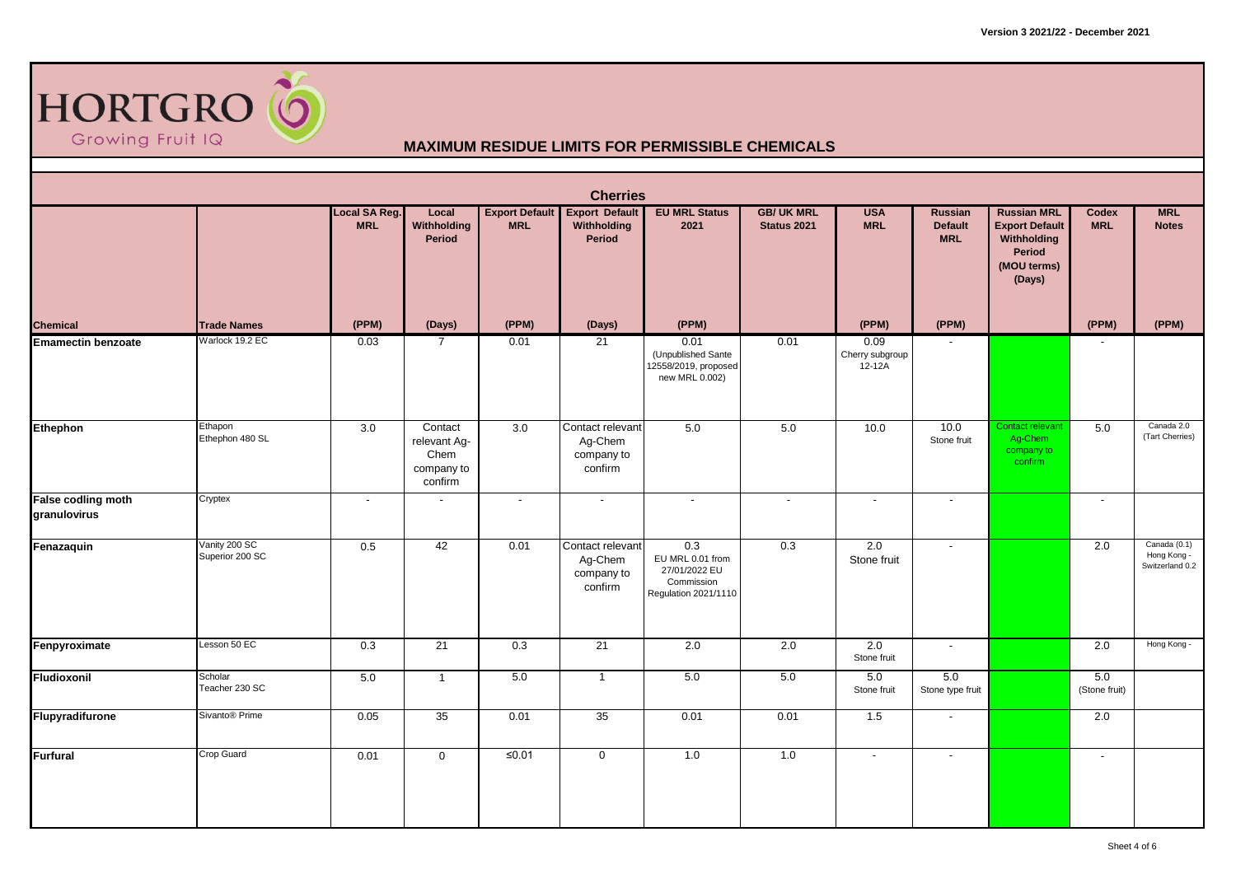

|                                           | <b>Cherries</b>                  |                             |                                                          |            |                                                               |                                                                                |                                         |                                   |                                                |                                                                                                      |                          |                                                |  |  |
|-------------------------------------------|----------------------------------|-----------------------------|----------------------------------------------------------|------------|---------------------------------------------------------------|--------------------------------------------------------------------------------|-----------------------------------------|-----------------------------------|------------------------------------------------|------------------------------------------------------------------------------------------------------|--------------------------|------------------------------------------------|--|--|
|                                           |                                  | Local SA Reg.<br><b>MRL</b> | Local<br>Withholding<br>Period                           | <b>MRL</b> | <b>Export Default Export Default</b><br>Withholding<br>Period | <b>EU MRL Status</b><br>2021                                                   | <b>GB/ UK MRL</b><br><b>Status 2021</b> | <b>USA</b><br><b>MRL</b>          | <b>Russian</b><br><b>Default</b><br><b>MRL</b> | <b>Russian MRL</b><br><b>Export Default</b><br>Withholding<br><b>Period</b><br>(MOU terms)<br>(Days) | Codex<br><b>MRL</b>      | <b>MRL</b><br><b>Notes</b>                     |  |  |
| Chemical                                  | <b>Trade Names</b>               | (PPM)                       | (Days)                                                   | (PPM)      | (Days)                                                        | (PPM)                                                                          |                                         | (PPM)                             | (PPM)                                          |                                                                                                      | (PPM)                    | (PPM)                                          |  |  |
| <b>Emamectin benzoate</b>                 | Warlock 19.2 EC                  | 0.03                        | $\overline{7}$                                           | 0.01       | $\overline{21}$                                               | 0.01<br>(Unpublished Sante<br>12558/2019, proposed<br>new MRL 0.002)           | 0.01                                    | 0.09<br>Cherry subgroup<br>12-12A |                                                |                                                                                                      |                          |                                                |  |  |
| Ethephon                                  | Ethapon<br>Ethephon 480 SL       | $\overline{3.0}$            | Contact<br>relevant Ag-<br>Chem<br>company to<br>confirm | 3.0        | Contact relevant<br>Ag-Chem<br>company to<br>confirm          | 5.0                                                                            | 5.0                                     | 10.0                              | 10.0<br>Stone fruit                            | Contact relevant<br>Ag-Chem<br>company to<br>confirm                                                 | 5.0                      | Canada 2.0<br>(Tart Cherries)                  |  |  |
| <b>False codling moth</b><br>granulovirus | Cryptex                          | $\overline{\phantom{a}}$    |                                                          | $\sim$     | $\sim$                                                        | $\overline{\phantom{a}}$                                                       | $\blacksquare$                          | $\blacksquare$                    | $\overline{\phantom{a}}$                       |                                                                                                      | $\blacksquare$           |                                                |  |  |
| Fenazaquin                                | Vanity 200 SC<br>Superior 200 SC | 0.5                         | 42                                                       | 0.01       | Contact relevant<br>Ag-Chem<br>company to<br>confirm          | 0.3<br>EU MRL 0.01 from<br>27/01/2022 EU<br>Commission<br>Regulation 2021/1110 | 0.3                                     | 2.0<br>Stone fruit                | $\sim$                                         |                                                                                                      | 2.0                      | Canada (0.1)<br>Hong Kong -<br>Switzerland 0.2 |  |  |
| Fenpyroximate                             | Lesson 50 EC                     | 0.3                         | 21                                                       | 0.3        | 21                                                            | 2.0                                                                            | 2.0                                     | 2.0<br>Stone fruit                | $\sim$                                         |                                                                                                      | 2.0                      | Hong Kong -                                    |  |  |
| Fludioxonil                               | Scholar<br>Teacher 230 SC        | 5.0                         | $\mathbf{1}$                                             | 5.0        | $\mathbf{1}$                                                  | 5.0                                                                            | 5.0                                     | 5.0<br>Stone fruit                | 5.0<br>Stone type fruit                        |                                                                                                      | 5.0<br>(Stone fruit)     |                                                |  |  |
| Flupyradifurone                           | Sivanto <sup>®</sup> Prime       | 0.05                        | 35                                                       | 0.01       | 35                                                            | 0.01                                                                           | 0.01                                    | 1.5                               | $\overline{\phantom{a}}$                       |                                                                                                      | 2.0                      |                                                |  |  |
| <b>Furfural</b>                           | Crop Guard                       | 0.01                        | $\mathbf 0$                                              | ≤ $0.01$   | $\mathsf{O}\xspace$                                           | 1.0                                                                            | 1.0                                     | $\overline{\phantom{a}}$          | $\overline{\phantom{a}}$                       |                                                                                                      | $\overline{\phantom{a}}$ |                                                |  |  |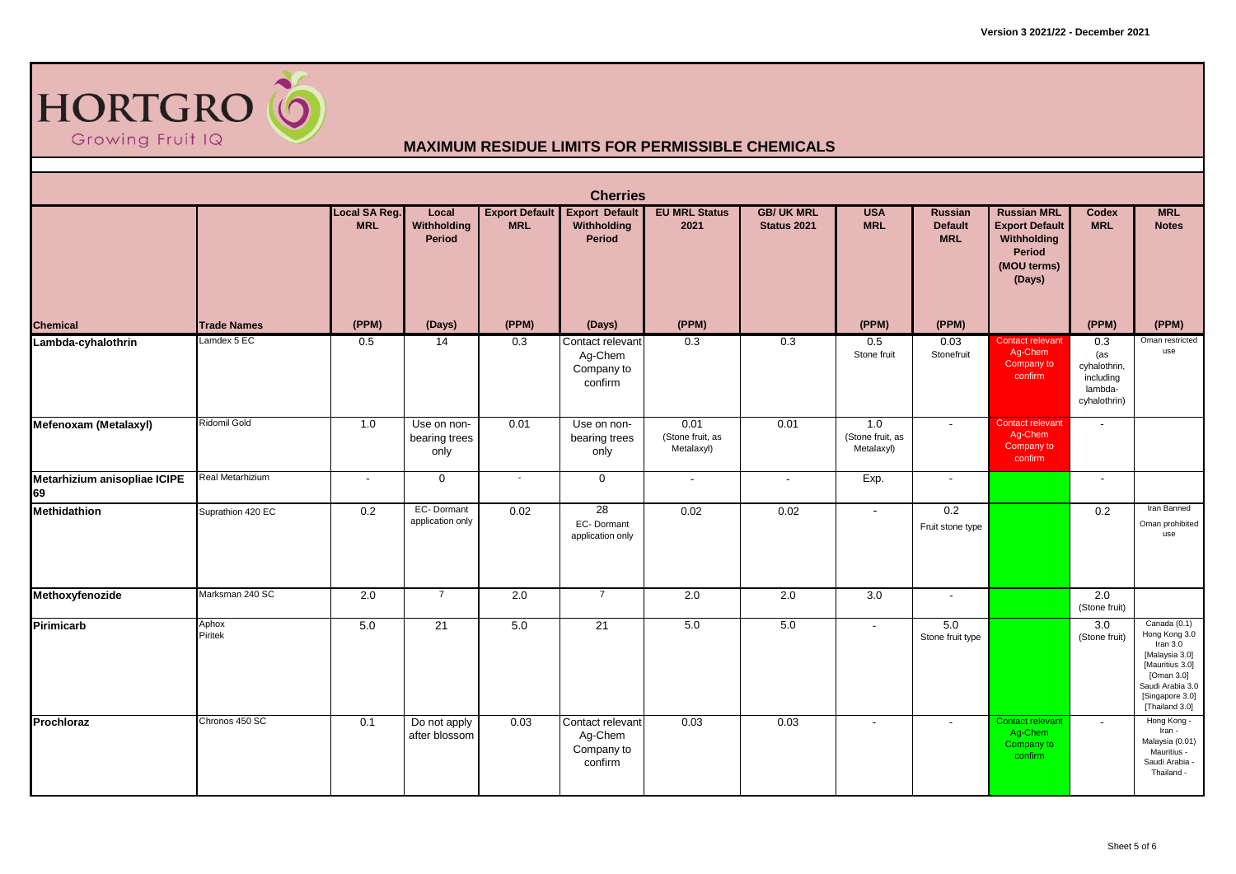

|                                       |                                   |                             |                                      |                          | <b>Cherries</b>                                                |                                        |                                  |                                       |                                                |                                                                                               |                                                                             |                                                                                                                                                         |
|---------------------------------------|-----------------------------------|-----------------------------|--------------------------------------|--------------------------|----------------------------------------------------------------|----------------------------------------|----------------------------------|---------------------------------------|------------------------------------------------|-----------------------------------------------------------------------------------------------|-----------------------------------------------------------------------------|---------------------------------------------------------------------------------------------------------------------------------------------------------|
|                                       |                                   | Local SA Reg.<br><b>MRL</b> | Local<br>Withholding<br>Period       | <b>MRL</b>               | <b>Export Default Export Default</b><br>Withholding<br>Period  | <b>EU MRL Status</b><br>2021           | <b>GB/ UK MRL</b><br>Status 2021 | <b>USA</b><br><b>MRL</b>              | <b>Russian</b><br><b>Default</b><br><b>MRL</b> | <b>Russian MRL</b><br><b>Export Default</b><br>Withholding<br>Period<br>(MOU terms)<br>(Days) | Codex<br><b>MRL</b>                                                         | <b>MRL</b><br><b>Notes</b>                                                                                                                              |
| <b>Chemical</b><br>Lambda-cyhalothrin | <b>Trade Names</b><br>Lamdex 5 EC | (PPM)<br>0.5                | (Days)<br>14                         | (PPM)<br>0.3             | (Days)<br>Contact relevant<br>Ag-Chem<br>Company to<br>confirm | (PPM)<br>0.3                           | 0.3                              | (PPM)<br>0.5<br>Stone fruit           | (PPM)<br>0.03<br>Stonefruit                    | <b>Contact relevant</b><br>Ag-Chem<br>Company to<br>confirm                                   | (PPM)<br>0.3<br>(as<br>cyhalothrin,<br>including<br>lambda-<br>cyhalothrin) | (PPM)<br>Oman restricted<br>use                                                                                                                         |
| Mefenoxam (Metalaxyl)                 | Ridomil Gold                      | 1.0                         | Use on non-<br>bearing trees<br>only | 0.01                     | Use on non-<br>bearing trees<br>only                           | 0.01<br>(Stone fruit, as<br>Metalaxyl) | 0.01                             | 1.0<br>(Stone fruit, as<br>Metalaxyl) | $\sim$                                         | <b>Contact relevant</b><br>Ag-Chem<br>Company to<br>confirm                                   | $\sim$                                                                      |                                                                                                                                                         |
| Metarhizium anisopliae ICIPE<br>69    | Real Metarhizium                  | $\overline{\phantom{a}}$    | $\mathbf 0$                          | $\overline{\phantom{a}}$ | $\mathbf 0$                                                    | $\sim$                                 | $\overline{\phantom{a}}$         | Exp.                                  | $\sim$                                         |                                                                                               | $\sim$                                                                      |                                                                                                                                                         |
| <b>Methidathion</b>                   | Suprathion 420 EC                 | 0.2                         | EC-Dormant<br>application only       | 0.02                     | 28<br>EC-Dormant<br>application only                           | 0.02                                   | 0.02                             | $\blacksquare$                        | $\overline{0.2}$<br>Fruit stone type           |                                                                                               | 0.2                                                                         | Iran Banned<br>Oman prohibited<br>use                                                                                                                   |
| Methoxyfenozide                       | Marksman 240 SC                   | 2.0                         | $\overline{7}$                       | 2.0                      | $\overline{7}$                                                 | 2.0                                    | 2.0                              | 3.0                                   | $\sim$                                         |                                                                                               | 2.0<br>(Stone fruit)                                                        |                                                                                                                                                         |
| Pirimicarb                            | Aphox<br>Piritek                  | 5.0                         | 21                                   | 5.0                      | $\overline{21}$                                                | 5.0                                    | 5.0                              | $\blacksquare$                        | 5.0<br>Stone fruit type                        |                                                                                               | 3.0<br>(Stone fruit)                                                        | Canada (0.1)<br>Hong Kong 3.0<br>Iran $3.0$<br>[Malaysia 3.0]<br>[Mauritius 3.0]<br>[Oman 3.0]<br>Saudi Arabia 3.0<br>[Singapore 3.0]<br>[Thailand 3.0] |
| Prochloraz                            | Chronos 450 SC                    | 0.1                         | Do not apply<br>after blossom        | 0.03                     | Contact relevant<br>Ag-Chem<br>Company to<br>confirm           | 0.03                                   | 0.03                             | $\overline{\phantom{a}}$              | $\sim$                                         | <b>Contact relevant</b><br>Ag-Chem<br>Company to<br>confirm                                   | $\sim$                                                                      | Hong Kong -<br>Iran -<br>Malaysia (0.01)<br>Mauritius -<br>Saudi Arabia<br>Thailand -                                                                   |